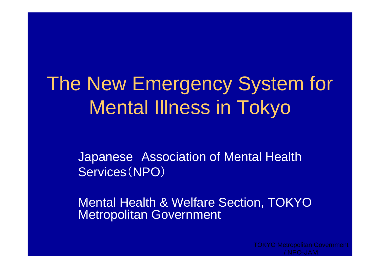# The New Emergency System for Mental Illness in Tokyo

Japanese Association of Mental Health Services(NPO)

Mental Health & Welfare Section, TOKYO Metropolitan Government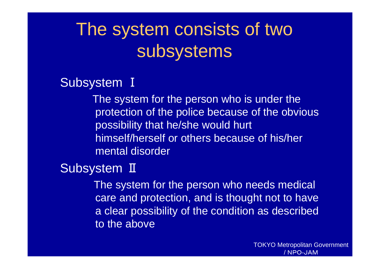# The system consists of two subsystems

Subsystem Ⅰ

The system for the person who is under the protection of the police because of the obvious possibility that he/she would hurt himself/herself or others because of his/her mental disorder

Subsystem II

The system for the person who needs medical care and protection, and is thought not to have a clear possibility of the condition as described to the above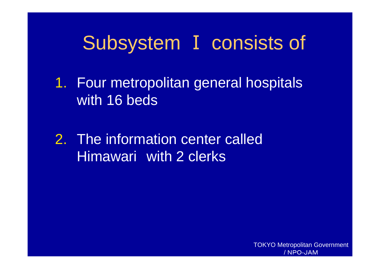# Subsystem Ⅰ consists of

1. Four metropolitan general hospitals with 16 beds

2. The information center called Himawari with 2 clerks

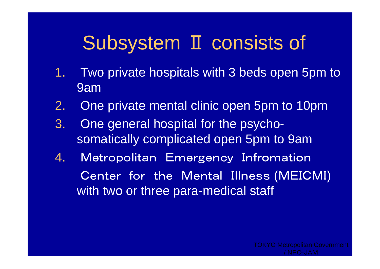# Subsystem Ⅱ consists of

- 1. Two private hospitals with 3 beds open 5pm to 9am
- 2.One private mental clinic open 5pm to 10pm
- 3. One general hospital for the psychosomatically complicated open 5pm to 9am
- 4. Metropolitan Emergency Infromation Center for the Mental Illness (MEICMI) with two or three para-medical staff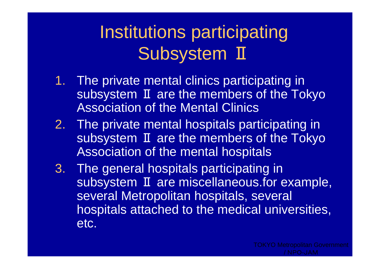# Institutions participating Subsystem II

- 1. The private mental clinics participating in subsystem II are the members of the Tokyo Association of the Mental Clinics
- 2. The private mental hospitals participating in subsystem II are the members of the Tokyo Association of the mental hospitals
- 3. The general hospitals participating in subsystem II are miscellaneous.for example, several Metropolitan hospitals, several hospitals attached to the medical universities, etc.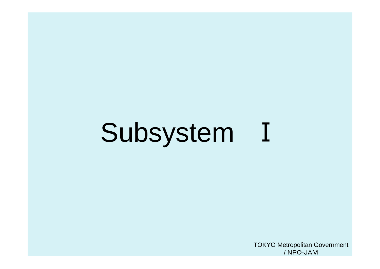## Subsystem Ⅰ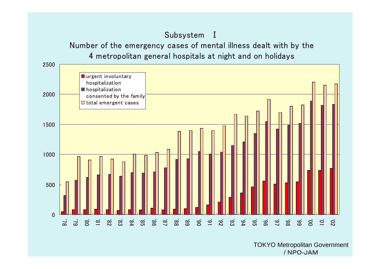#### Subsystem Ⅰ

Number of the emergency cases of mental illness dealt with by the 4 metropolitan general hospitals at night and on holidays

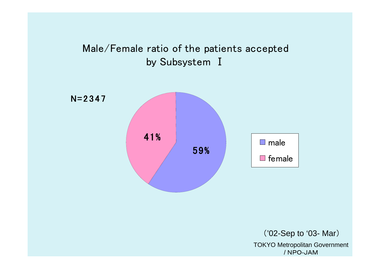

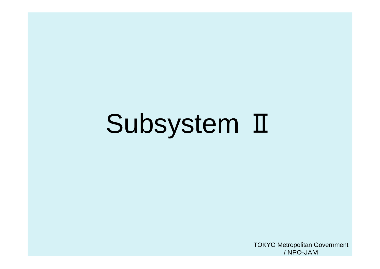# Subsystem Ⅱ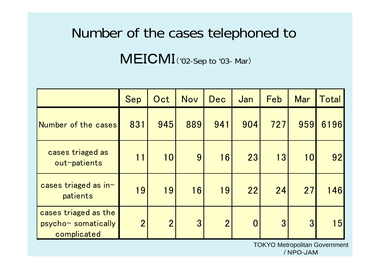# Number of the cases telephoned to

MEICMI('02-Sep to '03- Mar)

|                                                            | Sep            | Oct            | Nov | Dec            | Jan            | Feb            | <b>Mar</b>      | Total |
|------------------------------------------------------------|----------------|----------------|-----|----------------|----------------|----------------|-----------------|-------|
| Number of the cases                                        | 831            | 945            | 889 | 941            | 904            | 727            | 959             | 6196  |
| cases triaged as<br>out-patients                           | 11             | 10             | 9   | 16             | 23             | 13             | <b>10</b>       | 92    |
| cases triaged as in-<br>patients                           | 19             | 19             | 16  | 19             | 22             | 24             | 27              | 146   |
| cases triaged as the<br>psycho- somatically<br>complicated | $\overline{2}$ | $\overline{2}$ | 3   | $\overline{2}$ | $\overline{0}$ | 3 <sup>°</sup> | $3\overline{3}$ | 15    |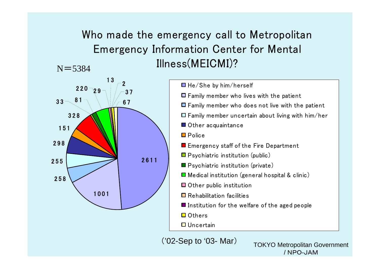#### Who made the emergency call to Metropolitan Emergency Information Center for Mental Illness(MEICMI)?  $N = 5384$



('02-Sep to '03- Mar)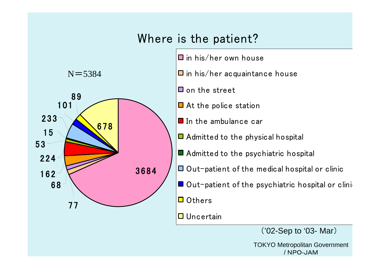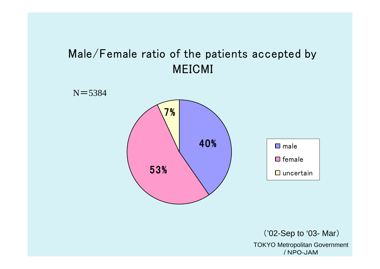## Male/Female ratio of the patients accepted by MEICMI

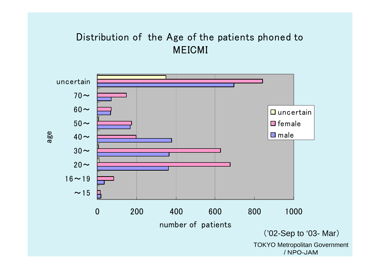### Distribution of the Age of the patients phoned to MEICMI

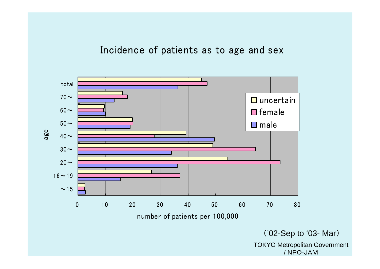Incidence of patients as to age and sex

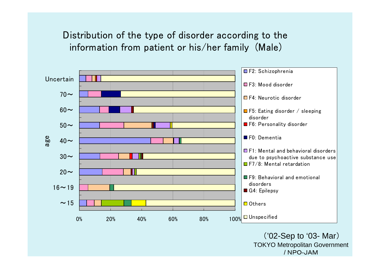Distribution of the type of disorder according to the information from patient or his/her family (Male)

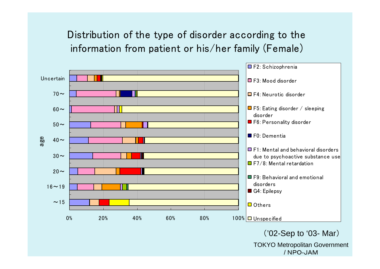## Distribution of the type of disorder according to the information from patient or his/her family (Female)

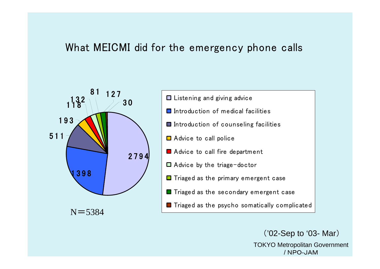## What MEICMI did for the emergency phone calls



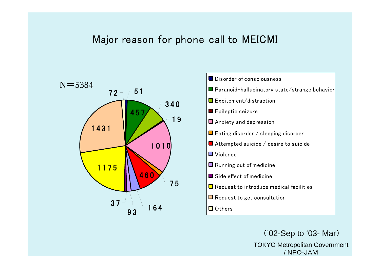#### Major reason for phone call to MEICMI



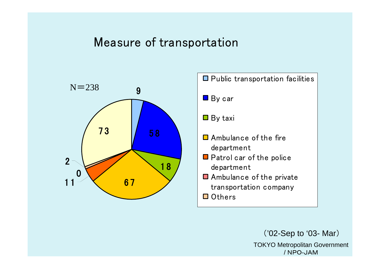## Measure of transportation



 $\Box$  Public transportation facilities **By car**  $\blacksquare$  By taxi ■ Ambulance of the fire department **O** Patrol car of the police department **Ambulance of the private** transportation company Others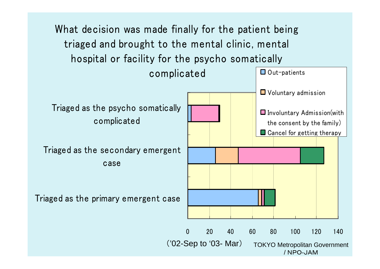